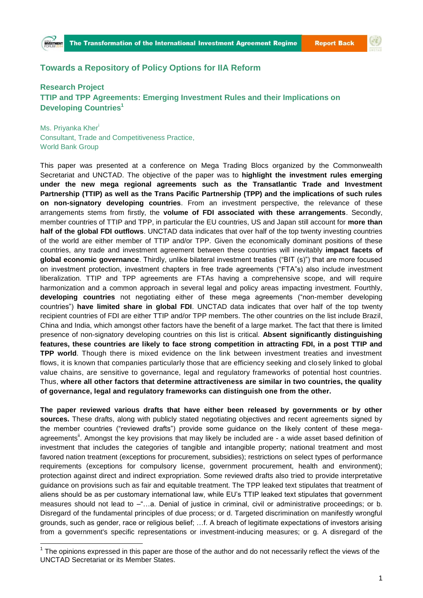## **Towards a Repository of Policy Options for IIA Reform**

## **Research Project TTIP and TPP Agreements: Emerging Investment Rules and their Implications on Developing Countries<sup>1</sup>**

Ms. Priyanka Kher<sup>i</sup> Consultant, Trade and Competitiveness Practice, World Bank Group

**.** 

This paper was presented at a conference on Mega Trading Blocs organized by the Commonwealth Secretariat and UNCTAD. The objective of the paper was to **highlight the investment rules emerging under the new mega regional agreements such as the Transatlantic Trade and Investment Partnership (TTIP) as well as the Trans Pacific Partnership (TPP) and the implications of such rules on non-signatory developing countries**. From an investment perspective, the relevance of these arrangements stems from firstly, the **volume of FDI associated with these arrangements**. Secondly, member countries of TTIP and TPP, in particular the EU countries, US and Japan still account for **more than half of the global FDI outflows**. UNCTAD data indicates that over half of the top twenty investing countries of the world are either member of TTIP and/or TPP. Given the economically dominant positions of these countries, any trade and investment agreement between these countries will inevitably **impact facets of global economic governance**. Thirdly, unlike bilateral investment treaties ("BIT (s)") that are more focused on investment protection, investment chapters in free trade agreements ("FTA"s) also include investment liberalization. TTIP and TPP agreements are FTAs having a comprehensive scope, and will require harmonization and a common approach in several legal and policy areas impacting investment. Fourthly, **developing countries** not negotiating either of these mega agreements ("non-member developing countries") **have limited share in global FDI**. UNCTAD data indicates that over half of the top twenty recipient countries of FDI are either TTIP and/or TPP members. The other countries on the list include Brazil, China and India, which amongst other factors have the benefit of a large market. The fact that there is limited presence of non-signatory developing countries on this list is critical. **Absent significantly distinguishing features, these countries are likely to face strong competition in attracting FDI, in a post TTIP and TPP world**. Though there is mixed evidence on the link between investment treaties and investment flows, it is known that companies particularly those that are efficiency seeking and closely linked to global value chains, are sensitive to governance, legal and regulatory frameworks of potential host countries. Thus, **where all other factors that determine attractiveness are similar in two countries, the quality of governance, legal and regulatory frameworks can distinguish one from the other.**

**The paper reviewed various drafts that have either been released by governments or by other**  sources. These drafts, along with publicly stated negotiating objectives and recent agreements signed by the member countries ("reviewed drafts") provide some guidance on the likely content of these megaagreements<sup>"</sup>. Amongst the key provisions that may likely be included are - a wide asset based definition of investment that includes the categories of tangible and intangible property; national treatment and most favored nation treatment (exceptions for procurement, subsidies); restrictions on select types of performance requirements (exceptions for compulsory license, government procurement, health and environment); protection against direct and indirect expropriation. Some reviewed drafts also tried to provide interpretative guidance on provisions such as fair and equitable treatment. The TPP leaked text stipulates that treatment of aliens should be as per customary international law, while EU's TTIP leaked text stipulates that government measures should not lead to –"…a. Denial of justice in criminal, civil or administrative proceedings; or b. Disregard of the fundamental principles of due process; or d. Targeted discrimination on manifestly wrongful grounds, such as gender, race or religious belief; …f. A breach of legitimate expectations of investors arising from a government's specific representations or investment-inducing measures; or g. A disregard of the

 $1$  The opinions expressed in this paper are those of the author and do not necessarily reflect the views of the UNCTAD Secretariat or its Member States.